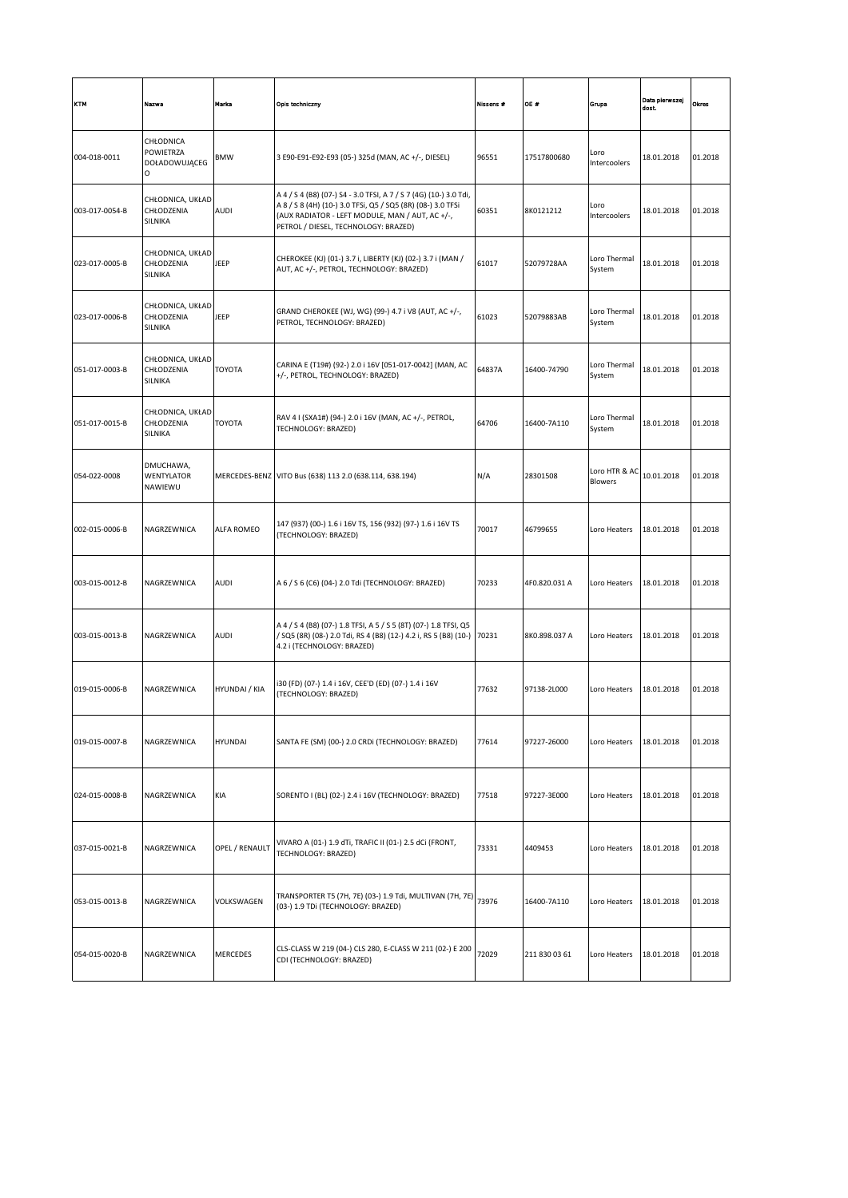| KTM            | Nazwa                                        | Marka           | Opis techniczny                                                                                                                                                                                                             | Nissens # | OE #          | Grupa                           | Data plerwszej<br>dost. | Okres   |
|----------------|----------------------------------------------|-----------------|-----------------------------------------------------------------------------------------------------------------------------------------------------------------------------------------------------------------------------|-----------|---------------|---------------------------------|-------------------------|---------|
| 004-018-0011   | CHŁODNICA<br>POWIETRZA<br>DOŁADOWUJĄCEG<br>О | BMW             | 3 E90-E91-E92-E93 (05-) 325d (MAN, AC +/-, DIESEL)                                                                                                                                                                          | 96551     | 17517800680   | Loro<br>Intercoolers            | 18.01.2018              | 01.2018 |
| 003-017-0054-B | CHŁODNICA, UKŁAD<br>CHŁODZENIA<br>SILNIKA    | AUDI            | A 4 / S 4 (B8) (07-) S4 - 3.0 TFSI, A 7 / S 7 (4G) (10-) 3.0 Tdi,<br>A 8 / S 8 (4H) (10-) 3.0 TFSi, Q5 / SQ5 (8R) (08-) 3.0 TFSi<br>(AUX RADIATOR - LEFT MODULE, MAN / AUT, AC +/-,<br>PETROL / DIESEL, TECHNOLOGY: BRAZED) | 60351     | 8K0121212     | Loro<br>Intercoolers            | 18.01.2018              | 01.2018 |
| 023-017-0005-B | CHŁODNICA, UKŁAD<br>CHŁODZENIA<br>SILNIKA    | JEEP            | CHEROKEE (KJ) (01-) 3.7 i, LIBERTY (KJ) (02-) 3.7 i (MAN /<br>AUT, AC +/-, PETROL, TECHNOLOGY: BRAZED)                                                                                                                      | 61017     | 52079728AA    | Loro Thermal<br>System          | 18.01.2018              | 01.2018 |
| 023-017-0006-B | CHŁODNICA, UKŁAD<br>CHŁODZENIA<br>SILNIKA    | JEEP            | GRAND CHEROKEE (WJ, WG) (99-) 4.7 i V8 (AUT, AC +/-,<br>PETROL, TECHNOLOGY: BRAZED)                                                                                                                                         | 61023     | 52079883AB    | Loro Thermal<br>System          | 18.01.2018              | 01.2018 |
| 051-017-0003-B | CHŁODNICA, UKŁAD<br>CHŁODZENIA<br>SILNIKA    | TOYOTA          | CARINA E (T19#) (92-) 2.0 i 16V [051-017-0042] (MAN, AC<br>+/-, PETROL, TECHNOLOGY: BRAZED)                                                                                                                                 | 64837A    | 16400-74790   | Loro Thermal<br>System          | 18.01.2018              | 01.2018 |
| 051-017-0015-B | CHŁODNICA, UKŁAD<br>CHŁODZENIA<br>SILNIKA    | TOYOTA          | RAV 4 I (SXA1#) (94-) 2.0 i 16V (MAN, AC +/-, PETROL,<br>TECHNOLOGY: BRAZED)                                                                                                                                                | 64706     | 16400-7A110   | Loro Thermal<br>System          | 18.01.2018              | 01.2018 |
| 054-022-0008   | DMUCHAWA,<br>WENTYLATOR<br>NAWIEWU           |                 | MERCEDES-BENZ VITO Bus (638) 113 2.0 (638.114, 638.194)                                                                                                                                                                     | N/A       | 28301508      | Loro HTR & AC<br><b>Blowers</b> | 10.01.2018              | 01.2018 |
| 002-015-0006-B | NAGRZEWNICA                                  | ALFA ROMEO      | 147 (937) (00-) 1.6 i 16V TS, 156 (932) (97-) 1.6 i 16V TS<br>(TECHNOLOGY: BRAZED)                                                                                                                                          | 70017     | 46799655      | Loro Heaters                    | 18.01.2018              | 01.2018 |
| 003-015-0012-B | NAGRZEWNICA                                  | AUDI            | A 6 / S 6 (C6) (04-) 2.0 Tdi (TECHNOLOGY: BRAZED)                                                                                                                                                                           | 70233     | 4F0.820.031 A | Loro Heaters                    | 18.01.2018              | 01.2018 |
| 003-015-0013-B | NAGRZEWNICA                                  | AUDI            | A 4 / S 4 (B8) (07-) 1.8 TFSI, A 5 / S 5 (8T) (07-) 1.8 TFSI, Q5<br>/ SQ5 (8R) (08-) 2.0 Tdi, RS 4 (B8) (12-) 4.2 i, RS 5 (B8) (10-) 70231<br>4.2 i (TECHNOLOGY: BRAZED)                                                    |           | 8K0.898.037 A | Loro Heaters                    | 18.01.2018              | 01.2018 |
| 019-015-0006-B | NAGRZEWNICA                                  | HYUNDAI / KIA   | i30 (FD) (07-) 1.4 i 16V, CEE'D (ED) (07-) 1.4 i 16V<br>(TECHNOLOGY: BRAZED)                                                                                                                                                | 77632     | 97138-2L000   | Loro Heaters                    | 18.01.2018              | 01.2018 |
| 019-015-0007-B | NAGRZEWNICA                                  | <b>HYUNDAI</b>  | SANTA FE (SM) (00-) 2.0 CRDi (TECHNOLOGY: BRAZED)                                                                                                                                                                           | 77614     | 97227-26000   | Loro Heaters                    | 18.01.2018              | 01.2018 |
| 024-015-0008-B | NAGRZEWNICA                                  | KIA             | SORENTO I (BL) (02-) 2.4 i 16V (TECHNOLOGY: BRAZED)                                                                                                                                                                         | 77518     | 97227-3E000   | Loro Heaters                    | 18.01.2018              | 01.2018 |
| 037-015-0021-B | NAGRZEWNICA                                  | OPEL / RENAULT  | VIVARO A (01-) 1.9 dTi, TRAFIC II (01-) 2.5 dCi (FRONT,<br>TECHNOLOGY: BRAZED)                                                                                                                                              | 73331     | 4409453       | Loro Heaters                    | 18.01.2018              | 01.2018 |
| 053-015-0013-B | NAGRZEWNICA                                  | VOLKSWAGEN      | TRANSPORTER T5 (7H, 7E) (03-) 1.9 Tdi, MULTIVAN (7H, 7E)<br>(03-) 1.9 TDi (TECHNOLOGY: BRAZED)                                                                                                                              | 73976     | 16400-7A110   | Loro Heaters                    | 18.01.2018              | 01.2018 |
| 054-015-0020-B | NAGRZEWNICA                                  | <b>MERCEDES</b> | CLS-CLASS W 219 (04-) CLS 280, E-CLASS W 211 (02-) E 200<br>CDI (TECHNOLOGY: BRAZED)                                                                                                                                        | 72029     | 211 830 03 61 | Loro Heaters                    | 18.01.2018              | 01.2018 |